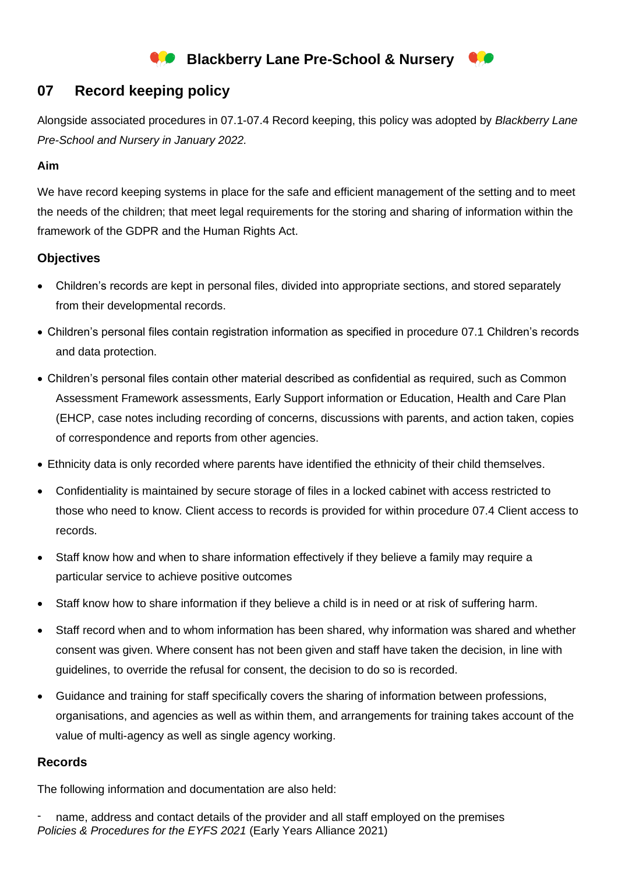# **Blackberry Lane Pre-School & Nursery**

## **07 Record keeping policy**

Alongside associated procedures in 07.1-07.4 Record keeping, this policy was adopted by *Blackberry Lane Pre-School and Nursery in January 2022.*

## **Aim**

We have record keeping systems in place for the safe and efficient management of the setting and to meet the needs of the children; that meet legal requirements for the storing and sharing of information within the framework of the GDPR and the Human Rights Act.

## **Objectives**

- Children's records are kept in personal files, divided into appropriate sections, and stored separately from their developmental records.
- Children's personal files contain registration information as specified in procedure 07.1 Children's records and data protection.
- Children's personal files contain other material described as confidential as required, such as Common Assessment Framework assessments, Early Support information or Education, Health and Care Plan (EHCP, case notes including recording of concerns, discussions with parents, and action taken, copies of correspondence and reports from other agencies.
- Ethnicity data is only recorded where parents have identified the ethnicity of their child themselves.
- Confidentiality is maintained by secure storage of files in a locked cabinet with access restricted to those who need to know. Client access to records is provided for within procedure 07.4 Client access to records.
- Staff know how and when to share information effectively if they believe a family may require a particular service to achieve positive outcomes
- Staff know how to share information if they believe a child is in need or at risk of suffering harm.
- Staff record when and to whom information has been shared, why information was shared and whether consent was given. Where consent has not been given and staff have taken the decision, in line with guidelines, to override the refusal for consent, the decision to do so is recorded.
- Guidance and training for staff specifically covers the sharing of information between professions, organisations, and agencies as well as within them, and arrangements for training takes account of the value of multi-agency as well as single agency working.

## **Records**

The following information and documentation are also held:

*Policies & Procedures for the EYFS 2021* (Early Years Alliance 2021) name, address and contact details of the provider and all staff employed on the premises